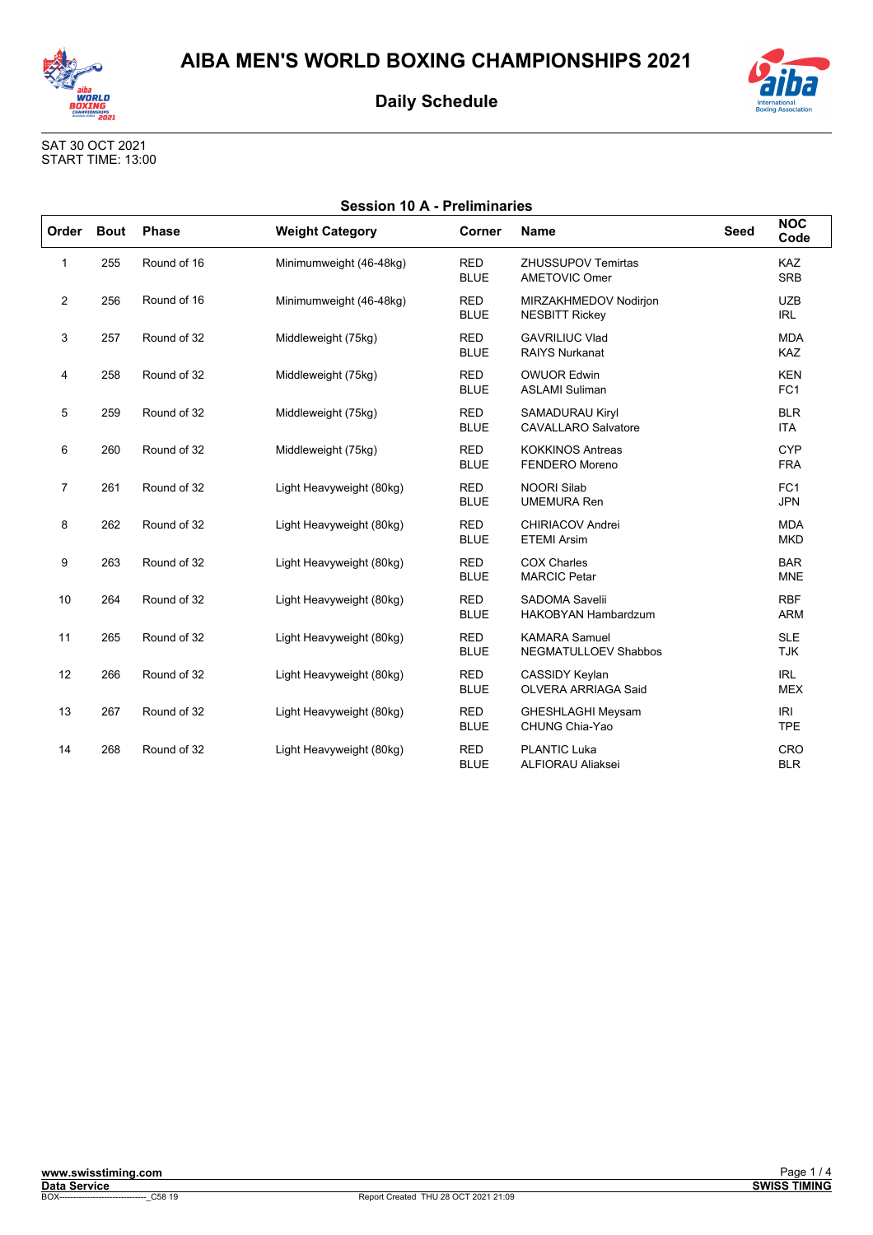

**Session 10 A - Preliminaries** 



SAT 30 OCT 2021<br>START TIME: 13:00

| Order          | <b>Bout</b> | <b>Phase</b> | <b>Weight Category</b>   | Corner                    | <b>Name</b>                                          | <b>Seed</b> | <b>NOC</b><br>Code            |
|----------------|-------------|--------------|--------------------------|---------------------------|------------------------------------------------------|-------------|-------------------------------|
| 1              | 255         | Round of 16  | Minimumweight (46-48kg)  | <b>RED</b><br><b>BLUE</b> | <b>ZHUSSUPOV Temirtas</b><br><b>AMETOVIC Omer</b>    |             | <b>KAZ</b><br><b>SRB</b>      |
| $\overline{2}$ | 256         | Round of 16  | Minimumweight (46-48kg)  | <b>RED</b><br><b>BLUE</b> | MIRZAKHMEDOV Nodirjon<br><b>NESBITT Rickey</b>       |             | <b>UZB</b><br><b>IRL</b>      |
| 3              | 257         | Round of 32  | Middleweight (75kg)      | <b>RED</b><br><b>BLUE</b> | <b>GAVRILIUC Vlad</b><br><b>RAIYS Nurkanat</b>       |             | <b>MDA</b><br>KAZ             |
| 4              | 258         | Round of 32  | Middleweight (75kg)      | <b>RED</b><br><b>BLUE</b> | <b>OWUOR Edwin</b><br><b>ASLAMI Suliman</b>          |             | <b>KEN</b><br>FC <sub>1</sub> |
| 5              | 259         | Round of 32  | Middleweight (75kg)      | <b>RED</b><br><b>BLUE</b> | <b>SAMADURAU Kiryl</b><br><b>CAVALLARO Salvatore</b> |             | <b>BLR</b><br><b>ITA</b>      |
| 6              | 260         | Round of 32  | Middleweight (75kg)      | <b>RED</b><br><b>BLUE</b> | <b>KOKKINOS Antreas</b><br><b>FENDERO Moreno</b>     |             | <b>CYP</b><br><b>FRA</b>      |
| $\overline{7}$ | 261         | Round of 32  | Light Heavyweight (80kg) | <b>RED</b><br><b>BLUE</b> | <b>NOORI Silab</b><br><b>UMEMURA Ren</b>             |             | FC <sub>1</sub><br><b>JPN</b> |
| 8              | 262         | Round of 32  | Light Heavyweight (80kg) | <b>RED</b><br><b>BLUE</b> | <b>CHIRIACOV Andrei</b><br><b>ETEMI Arsim</b>        |             | <b>MDA</b><br><b>MKD</b>      |
| 9              | 263         | Round of 32  | Light Heavyweight (80kg) | <b>RED</b><br><b>BLUE</b> | <b>COX Charles</b><br><b>MARCIC Petar</b>            |             | <b>BAR</b><br><b>MNE</b>      |
| 10             | 264         | Round of 32  | Light Heavyweight (80kg) | <b>RED</b><br><b>BLUE</b> | <b>SADOMA Savelii</b><br><b>HAKOBYAN Hambardzum</b>  |             | <b>RBF</b><br><b>ARM</b>      |
| 11             | 265         | Round of 32  | Light Heavyweight (80kg) | <b>RED</b><br><b>BLUE</b> | <b>KAMARA Samuel</b><br><b>NEGMATULLOEV Shabbos</b>  |             | <b>SLE</b><br><b>TJK</b>      |
| 12             | 266         | Round of 32  | Light Heavyweight (80kg) | <b>RED</b><br><b>BLUE</b> | CASSIDY Keylan<br><b>OLVERA ARRIAGA Said</b>         |             | <b>IRL</b><br><b>MEX</b>      |
| 13             | 267         | Round of 32  | Light Heavyweight (80kg) | <b>RED</b><br><b>BLUE</b> | <b>GHESHLAGHI Meysam</b><br>CHUNG Chia-Yao           |             | IRI<br><b>TPE</b>             |
| 14             | 268         | Round of 32  | Light Heavyweight (80kg) | <b>RED</b><br><b>BLUE</b> | <b>PLANTIC Luka</b><br><b>ALFIORAU Aliaksei</b>      |             | CRO<br><b>BLR</b>             |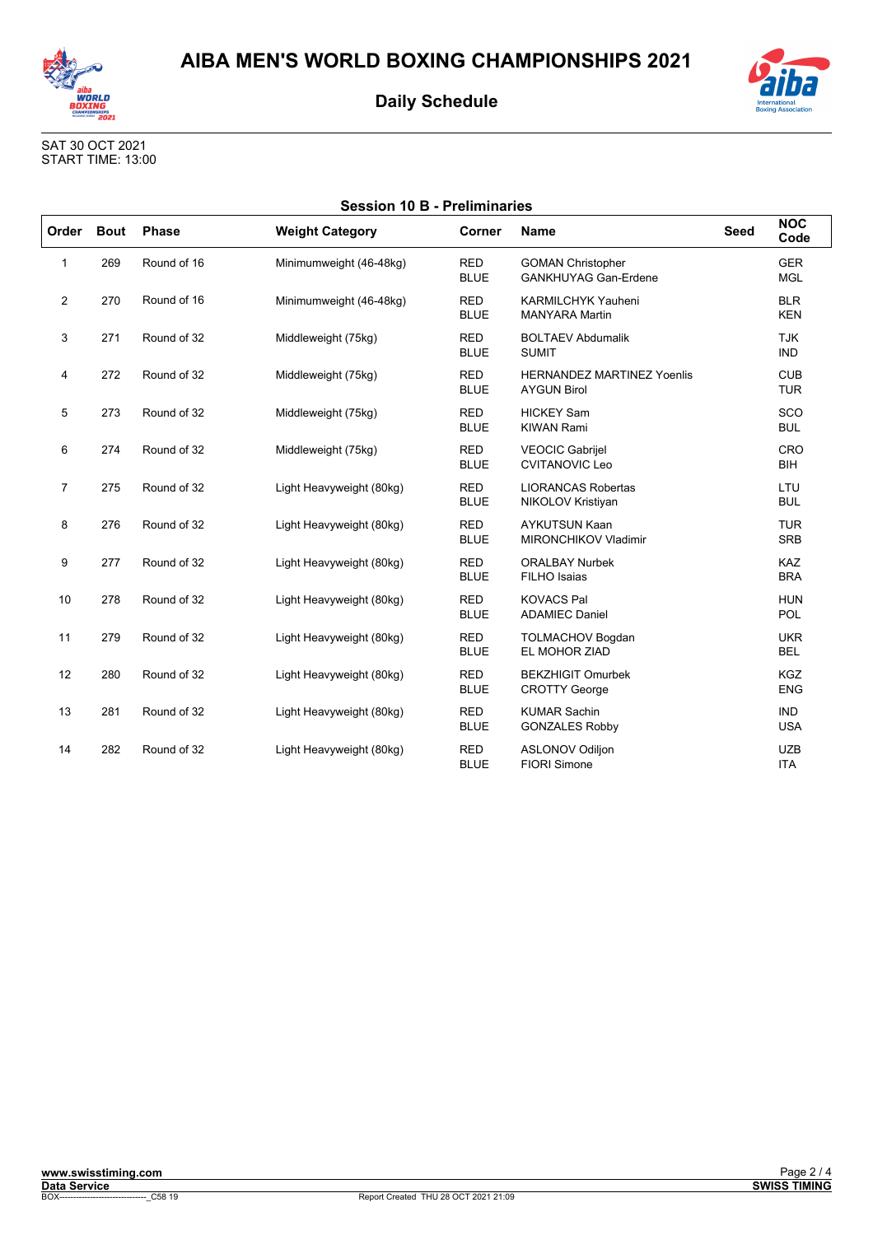



SAT 30 OCT 2021 START TIME: 13:00

| <b>Session 10 B - Preliminaries</b> |             |              |                          |                                                                                                                  |                                                         |             |                          |  |
|-------------------------------------|-------------|--------------|--------------------------|------------------------------------------------------------------------------------------------------------------|---------------------------------------------------------|-------------|--------------------------|--|
| Order                               | <b>Bout</b> | <b>Phase</b> | <b>Weight Category</b>   | Corner                                                                                                           | <b>Name</b>                                             | <b>Seed</b> | <b>NOC</b><br>Code       |  |
| 1                                   | 269         | Round of 16  | Minimumweight (46-48kg)  | <b>RED</b><br><b>GER</b><br><b>GOMAN Christopher</b><br><b>MGL</b><br><b>BLUE</b><br><b>GANKHUYAG Gan-Erdene</b> |                                                         |             |                          |  |
| 2                                   | 270         | Round of 16  | Minimumweight (46-48kg)  | <b>RED</b><br><b>BLUE</b>                                                                                        | <b>KARMILCHYK Yauheni</b><br><b>MANYARA Martin</b>      |             | <b>BLR</b><br><b>KEN</b> |  |
| 3                                   | 271         | Round of 32  | Middleweight (75kg)      | <b>RED</b><br><b>BOLTAEV Abdumalik</b><br><b>TJK</b><br><b>BLUE</b><br><b>IND</b><br><b>SUMIT</b>                |                                                         |             |                          |  |
| 4                                   | 272         | Round of 32  | Middleweight (75kg)      | <b>RED</b><br><b>BLUE</b>                                                                                        | <b>HERNANDEZ MARTINEZ Yoenlis</b><br><b>AYGUN Birol</b> |             | <b>CUB</b><br><b>TUR</b> |  |
| 5                                   | 273         | Round of 32  | Middleweight (75kg)      | <b>RED</b><br><b>BLUE</b>                                                                                        | <b>HICKEY Sam</b><br><b>KIWAN Rami</b>                  |             | SCO<br><b>BUL</b>        |  |
| 6                                   | 274         | Round of 32  | Middleweight (75kg)      | <b>RED</b><br><b>BLUE</b>                                                                                        | <b>VEOCIC Gabrijel</b><br><b>CVITANOVIC Leo</b>         |             | CRO<br><b>BIH</b>        |  |
| $\overline{7}$                      | 275         | Round of 32  | Light Heavyweight (80kg) | <b>RED</b><br><b>BLUE</b>                                                                                        | <b>LIORANCAS Robertas</b><br>NIKOLOV Kristiyan          |             | LTU<br><b>BUL</b>        |  |
| 8                                   | 276         | Round of 32  | Light Heavyweight (80kg) | <b>RED</b><br><b>BLUE</b>                                                                                        | <b>AYKUTSUN Kaan</b><br><b>MIRONCHIKOV Vladimir</b>     |             | <b>TUR</b><br><b>SRB</b> |  |
| 9                                   | 277         | Round of 32  | Light Heavyweight (80kg) | <b>RED</b><br><b>BLUE</b>                                                                                        | <b>ORALBAY Nurbek</b><br>FILHO Isaias                   |             | <b>KAZ</b><br><b>BRA</b> |  |
| 10                                  | 278         | Round of 32  | Light Heavyweight (80kg) | <b>RED</b><br><b>BLUE</b>                                                                                        | <b>KOVACS Pal</b><br><b>ADAMIEC Daniel</b>              |             | <b>HUN</b><br>POL        |  |
| 11                                  | 279         | Round of 32  | Light Heavyweight (80kg) | <b>RED</b><br><b>BLUE</b>                                                                                        | <b>TOLMACHOV Bogdan</b><br>EL MOHOR ZIAD                |             | <b>UKR</b><br><b>BEL</b> |  |
| 12                                  | 280         | Round of 32  | Light Heavyweight (80kg) | <b>RED</b><br><b>BLUE</b>                                                                                        | <b>BEKZHIGIT Omurbek</b><br><b>CROTTY George</b>        |             | <b>KGZ</b><br><b>ENG</b> |  |
| 13                                  | 281         | Round of 32  | Light Heavyweight (80kg) | <b>RED</b><br><b>BLUE</b>                                                                                        | <b>KUMAR Sachin</b><br><b>GONZALES Robby</b>            |             | <b>IND</b><br><b>USA</b> |  |
| 14                                  | 282         | Round of 32  | Light Heavyweight (80kg) | <b>RED</b><br><b>BLUE</b>                                                                                        | <b>ASLONOV Odiljon</b><br><b>FIORI Simone</b>           |             | <b>UZB</b><br><b>ITA</b> |  |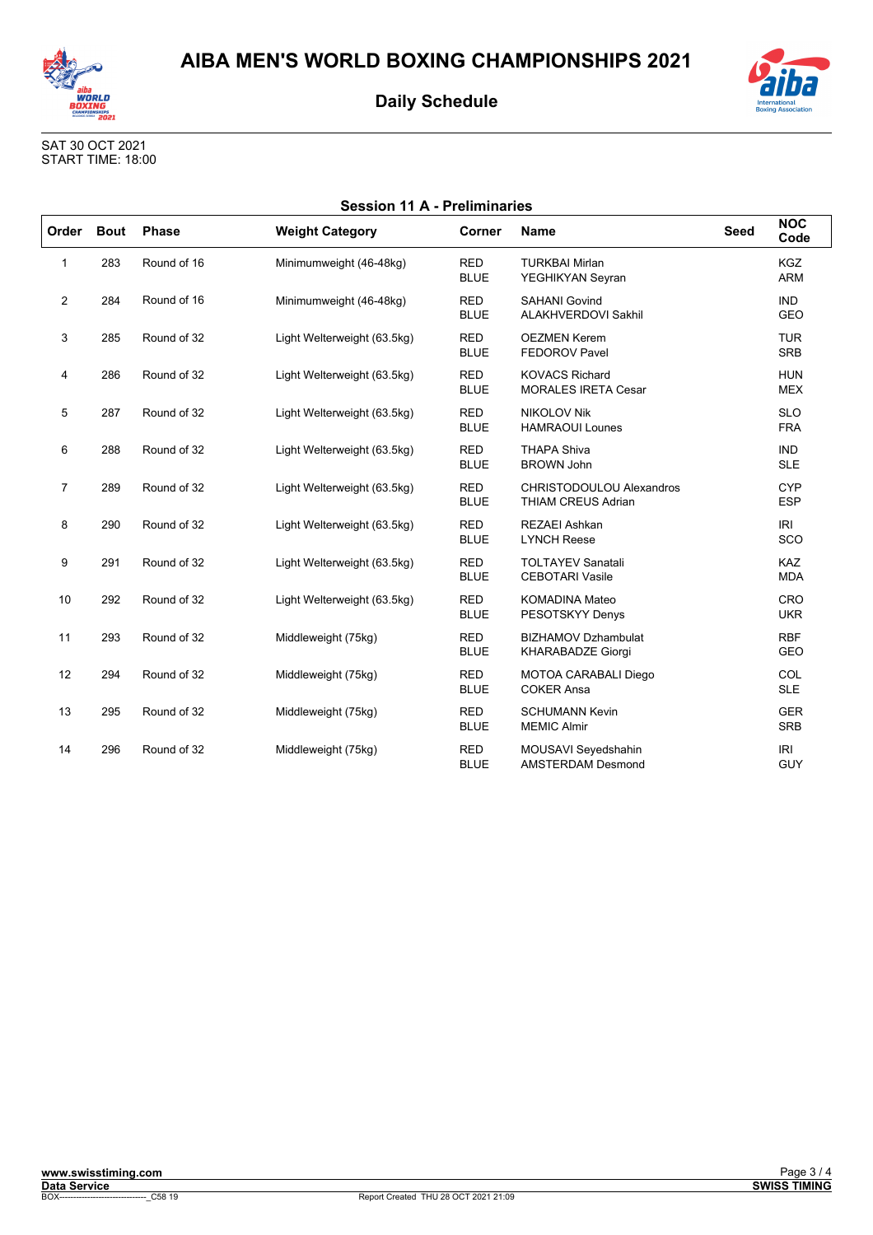



| <b>International</b><br><b>Boxing Association</b> |
|---------------------------------------------------|

| <b>Session 11 A - Preliminaries</b> |             |              |                             |                           |                                                              |             |                          |
|-------------------------------------|-------------|--------------|-----------------------------|---------------------------|--------------------------------------------------------------|-------------|--------------------------|
| Order                               | <b>Bout</b> | <b>Phase</b> | <b>Weight Category</b>      | Corner                    | <b>Name</b>                                                  | <b>Seed</b> | <b>NOC</b><br>Code       |
| $\mathbf{1}$                        | 283         | Round of 16  | Minimumweight (46-48kg)     | <b>RED</b><br><b>BLUE</b> | <b>TURKBAI Mirlan</b><br>YEGHIKYAN Seyran                    |             | <b>KGZ</b><br><b>ARM</b> |
| 2                                   | 284         | Round of 16  | Minimumweight (46-48kg)     | <b>RED</b><br><b>BLUE</b> | <b>SAHANI Govind</b><br>ALAKHVERDOVI Sakhil                  |             | <b>IND</b><br>GEO        |
| 3                                   | 285         | Round of 32  | Light Welterweight (63.5kg) | <b>RED</b><br><b>BLUE</b> | <b>OEZMEN Kerem</b><br><b>FEDOROV Pavel</b>                  |             | <b>TUR</b><br><b>SRB</b> |
| 4                                   | 286         | Round of 32  | Light Welterweight (63.5kg) | <b>RED</b><br><b>BLUE</b> | <b>KOVACS Richard</b><br><b>MORALES IRETA Cesar</b>          |             | <b>HUN</b><br><b>MEX</b> |
| 5                                   | 287         | Round of 32  | Light Welterweight (63.5kg) | <b>RED</b><br><b>BLUE</b> | <b>NIKOLOV Nik</b><br><b>HAMRAOUI Lounes</b>                 |             | <b>SLO</b><br><b>FRA</b> |
| 6                                   | 288         | Round of 32  | Light Welterweight (63.5kg) | <b>RED</b><br><b>BLUE</b> | <b>THAPA Shiva</b><br><b>BROWN John</b>                      |             | <b>IND</b><br><b>SLE</b> |
| $\overline{7}$                      | 289         | Round of 32  | Light Welterweight (63.5kg) | <b>RED</b><br><b>BLUE</b> | <b>CHRISTODOULOU Alexandros</b><br><b>THIAM CREUS Adrian</b> |             | <b>CYP</b><br><b>ESP</b> |
| 8                                   | 290         | Round of 32  | Light Welterweight (63.5kg) | <b>RED</b><br><b>BLUE</b> | <b>REZAEI Ashkan</b><br><b>LYNCH Reese</b>                   |             | <b>IRI</b><br><b>SCO</b> |
| 9                                   | 291         | Round of 32  | Light Welterweight (63.5kg) | <b>RED</b><br><b>BLUE</b> | <b>TOLTAYEV Sanatali</b><br><b>CEBOTARI Vasile</b>           |             | KAZ<br><b>MDA</b>        |
| 10                                  | 292         | Round of 32  | Light Welterweight (63.5kg) | <b>RED</b><br><b>BLUE</b> | <b>KOMADINA Mateo</b><br>PESOTSKYY Denys                     |             | CRO<br><b>UKR</b>        |
| 11                                  | 293         | Round of 32  | Middleweight (75kg)         | <b>RED</b><br><b>BLUE</b> | <b>BIZHAMOV Dzhambulat</b><br><b>KHARABADZE Giorgi</b>       |             | <b>RBF</b><br>GEO        |
| 12                                  | 294         | Round of 32  | Middleweight (75kg)         | <b>RED</b><br><b>BLUE</b> | MOTOA CARABALI Diego<br><b>COKER Ansa</b>                    |             | COL<br><b>SLE</b>        |
| 13                                  | 295         | Round of 32  | Middleweight (75kg)         | <b>RED</b><br><b>BLUE</b> | <b>SCHUMANN Kevin</b><br><b>MEMIC Almir</b>                  |             | <b>GER</b><br><b>SRB</b> |
| 14                                  | 296         | Round of 32  | Middleweight (75kg)         | <b>RED</b><br><b>BLUE</b> | MOUSAVI Seyedshahin<br><b>AMSTERDAM Desmond</b>              |             | IRI<br><b>GUY</b>        |